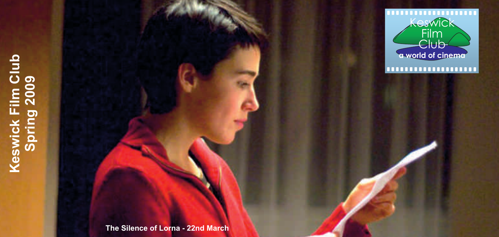# **Keswick Film Club**  Keswick Film Club<br>Spring 2009 **Spring 2009**



 **The Silence of Lorna - 22nd March**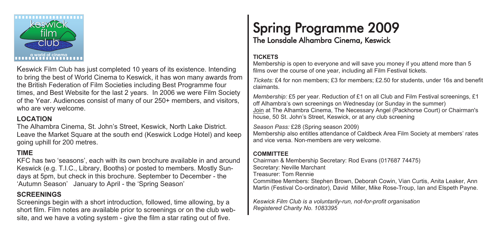

Keswick Film Club has just completed 10 years of its existence. Intending to bring the best of World Cinema to Keswick, it has won many awards from the British Federation of Film Societies including Best Programme four times, and Best Website for the last 2 years. In 2006 we were Film Society of the Year. Audiences consist of many of our 250+ members, and visitors, who are very welcome.

#### **LOCATION**

The Alhambra Cinema, St. John's Street, Keswick, North Lake District. Leave the Market Square at the south end (Keswick Lodge Hotel) and keep going uphill for 200 metres.

#### **TIME**

KFC has two 'seasons', each with its own brochure available in and around Keswick (e.g. T.I.C., Library, Booths) or posted to members. Mostly Sundays at 5pm, but check in this brochure. September to December - the 'Autumn Season' January to April - the 'Spring Season'

#### **SCREENINGS**

Screenings begin with a short introduction, followed, time allowing, by a short film. Film notes are available prior to screenings or on the club website, and we have a voting system - give the film a star rating out of five.

# Spring Programme 2009<br>The Lonsdale Alhambra Cinema, Keswick

#### **TICKETS**

Membership is open to everyone and will save you money if you attend more than 5 films over the course of one year, including all Film Festival tickets.

*Tickets:* £4 for non members; £3 for members; £2.50 for students, under 16s and benefit claimants.

*Membership:* £5 per year. Reduction of £1 on all Club and Film Festival screenings, £1 off Alhambra's own screenings on Wednesday (or Sunday in the summer) Join at The Alhambra Cinema, The Necessary Angel (Packhorse Court) or Chairman's house, 50 St. John's Street, Keswick, or at any club screening

*Season Pass:* £28 (Spring season 2009)

Membership also entitles attendance of Caldbeck Area Film Society at members' rates and vice versa. Non-members are very welcome.

#### **COMMITTEE**

Chairman & Membership Secretary: Rod Evans (017687 74475) Secretary: Neville Marchant Treasurer: Tom Rennie Committee Members: Stephen Brown, Deborah Cowin, Vian Curtis, Anita Leaker, Ann Martin (Festival Co-ordinator), David Miller, Mike Rose-Troup, Ian and Elspeth Payne.

*Keswick Film Club is a voluntarily-run, not-for-profit organisation Registered Charity No. 1083395*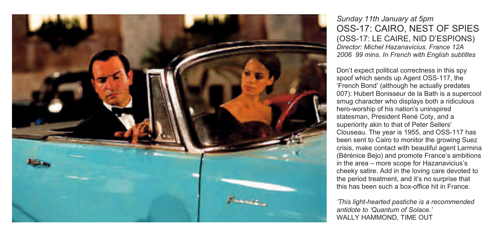

*Sunday 11th January at 5pm*  OSS-17: CAIRO, NEST OF SPIES (OSS-17: LE CAIRE, NID D'ESPIONS) *Director: Michel Hazanavicius. France 12A 2006 99 mins. In French with English subtitles*

Don't expect political correctness in this spy spoof which sends up Agent OSS-117, the 'French Bond' (although he actually predates 007): Hubert Bonisseur de la Bath is a supercool smug character who displays both a ridiculous hero-worship of his nation's uninspired statesman, President René Coty, and a superiority akin to that of Peter Sellers' Clouseau. The year is 1955, and OSS-117 has been sent to Cairo to monitor the growing Suez crisis, make contact with beautiful agent Larmina (Bérénice Bejo) and promote France's ambitions in the area – more scope for Hazanavicius's cheeky satire. Add in the loving care devoted to the period treatment, and it's no surprise that this has been such a box-office hit in France.

*'This light-hearted pastiche is a recommended antidote to 'Quantum of Solace.'*  WALLY HAMMOND, TIME OUT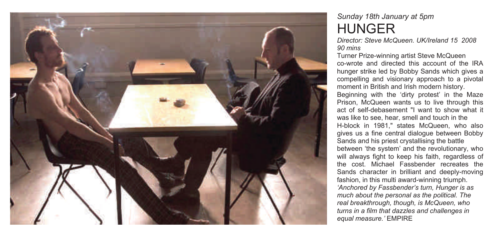

#### *Sunday 18th January at 5pm*  HUNGER

*Director: Steve McQueen. UK/Ireland 15 2008 90 mins* 

Turner Prize-winning artist Steve McQueen co-wrote and directed this account of the IRA hunger strike led by Bobby Sands which gives a compelling and visionary approach to a pivotal moment in British and Irish modern history. Beginning with the 'dirty protest' in the Maze Prison, McQueen wants us to live through this act of self-debasement "I want to show what it was like to see, hear, smell and touch in the H-block in 1981," states McQueen, who also gives us a fine central dialogue between Bobby Sands and his priest crystallising the battle between 'the system' and the revolutionary, who will always fight to keep his faith, regardless of the cost. Michael Fassbender recreates the Sands character in brilliant and deeply-moving fashion, in this multi award-winning triumph. *'Anchored by Fassbender's turn, Hunger is as much about the personal as the political. The real breakthrough, though, is McQueen, who turns in a film that dazzles and challenges in equal measure.'* EMPIRE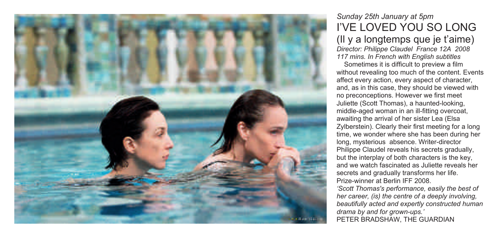

#### *Sunday 25th January at 5pm*  I'VE LOVED YOU SO LONG

(Il y a longtemps que je t'aime) *Director: Philippe Claudel France 12A 2008 117 mins. In French with English subtitles* 

 Sometimes it is difficult to preview a film without revealing too much of the content. Events affect every action, every aspect of character, and, as in this case, they should be viewed with no preconceptions. However we first meet Juliette (Scott Thomas), a haunted-looking, middle-aged woman in an ill-fitting overcoat, awaiting the arrival of her sister Lea (Elsa Zylberstein). Clearly their first meeting for a long time, we wonder where she has been during her long, mysterious absence. Writer-director Philippe Claudel reveals his secrets gradually, but the interplay of both characters is the key, and we watch fascinated as Juliette reveals her secrets and gradually transforms her life. Prize-winner at Berlin IFF 2008. *'Scott Thomas's performance, easily the best of her career, (is) the centre of a deeply involving,* 

*beautifully acted and expertly constructed human drama by and for grown-ups.'*  PETER BRADSHAW, THE GUARDIAN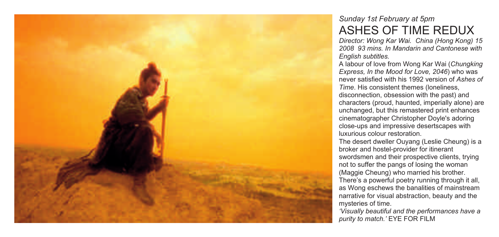

#### *Sunday 1st February at 5pm*  ASHES OF TIME REDUX

*Director: Wong Kar Wai. China (Hong Kong) 15 2008 93 mins. In Mandarin and Cantonese with English subtitles.* 

A labour of love from Wong Kar Wai (*Chungking Express, In the Mood for Love, 2046*) who was never satisfied with his 1992 version of *Ashes of Time*. His consistent themes (loneliness, disconnection, obsession with the past) and characters (proud, haunted, imperially alone) are unchanged, but this remastered print enhances cinematographer Christopher Doyle's adoring close-ups and impressive desertscapes with luxurious colour restoration.

The desert dweller Ouyang (Leslie Cheung) is a broker and hostel-provider for itinerant swordsmen and their prospective clients, trying not to suffer the pangs of losing the woman (Maggie Cheung) who married his brother. There's a powerful poetry running through it all, as Wong eschews the banalities of mainstream narrative for visual abstraction, beauty and the mysteries of time.

*'Visually beautiful and the performances have a purity to match.'* EYE FOR FILM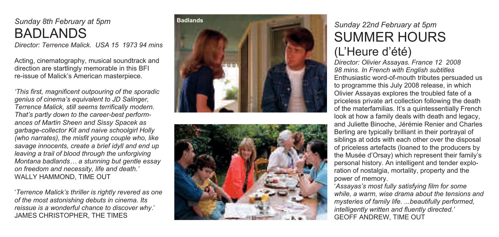#### *Sunday 8th February at 5pm*  BADLANDS

*Director: Terrence Malick. USA 15 1973 94 mins* 

Acting, cinematography, musical soundtrack and direction are startlingly memorable in this BFI re-issue of Malick's American masterpiece.

*'This first, magnificent outpouring of the sporadic genius of cinema's equivalent to JD Salinger, Terrence Malick, still seems terrifically modern. That's partly down to the career-best performances of Martin Sheen and Sissy Spacek as garbage-collector Kit and naive schoolgirl Holly (who narrates), the misfit young couple who, like savage innocents, create a brief idyll and end up leaving a trail of blood through the unforgiving Montana badlands… a stunning but gentle essay on freedom and necessity, life and death.'*  WALLY HAMMOND, TIME OUT<br>'*Terrence Malick's thriller is rightly revered as one* 

*of the most astonishing debuts in cinema. Its reissue is a wonderful chance to discover why*.' JAMES CHRISTOPHER, THE TIMES





# *Sunday 22nd February at 5pm* SUMMER HOURS

#### (L'Heure d'été)

*Director: Olivier Assayas. France 12 2008 98 mins. In French with English subtitles*  Enthusiastic word-of-mouth tributes persuaded us to programme this July 2008 release, in which Olivier Assayas explores the troubled fate of a priceless private art collection following the death of the materfamilias. It's a quintessentially French look at how a family deals with death and legacy, and Juliette Binoche, Jérémie Renier and Charles Berling are typically brilliant in their portrayal of siblings at odds with each other over the disposal of priceless artefacts (loaned to the producers by the Musée d'Orsay) which represent their family's personal history. An intelligent and tender exploration of nostalgia, mortality, property and the power of memory. '*Assayas's most fully satisfying film for some* 

*while, a warm, wise drama about the tensions and mysteries of family life. ...beautifully performed, intelligently written and fluently directed.'*  GEOFF ANDREW, TIME OUT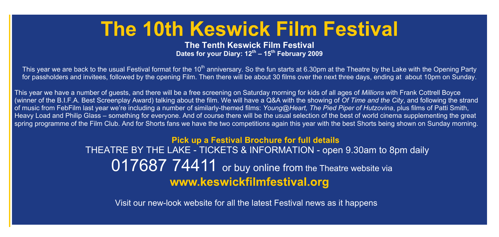# **The 10th Keswick Film Festival**

**The Tenth Keswick Film Festival Dates for your Diary: 12th – 15th February 2009** 

This year we are back to the usual Festival format for the 10<sup>th</sup> anniversary. So the fun starts at 6.30pm at the Theatre by the Lake with the Opening Party for passholders and invitees, followed by the opening Film. Then there will be about 30 films over the next three days, ending at about 10pm on Sunday.

This year we have a number of guests, and there will be a free screening on Saturday morning for kids of all ages of *Millions* with Frank Cottrell Boyce (winner of the B.I.F.A. Best Screenplay Award) talking about the film. We will have a Q&A with the showing of *Of Time and the City*, and following the strand of music from FebFilm last year we're including a number of similarly-themed films: *Young@Heart, The Pied Piper of Hutzovina*, plus films of Patti Smith, Heavy Load and Philip Glass – something for everyone. And of course there will be the usual selection of the best of world cinema supplementing the great spring programme of the Film Club. And for Shorts fans we have the two competitions again this year with the best Shorts being shown on Sunday morning.

> Pick up a Festival Brochure for full details THEATRE BY THE LAKE - TICKETS & INFORMATION - open 9.30am to 8pm daily 017687 74411 or buy online from the Theatre website via www.keswickfilmfestival.org

Visit our new-look website for all the latest Festival news as it happens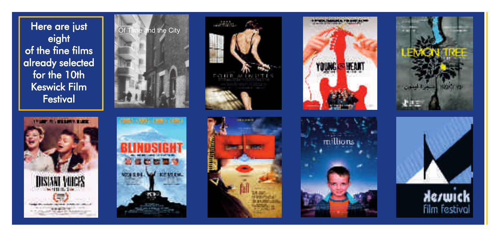Here are just eight of the fine films already selected for the 10th **Keswick Film Festival** 

















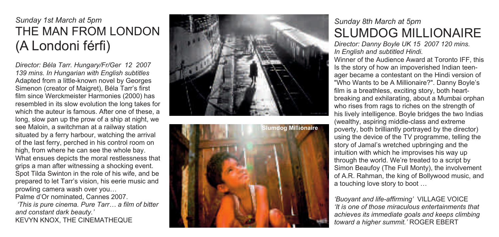#### *Sunday 1st March at 5pm*  THE MAN FROM LONDON (A Londoni férfi)

*Director: Béla Tarr. Hungary/Fr/Ger 12 2007 139 mins. In Hungarian with English subtitles*  Adapted from a little-known novel by Georges Simenon (creator of Maigret), Béla Tarr's first film since Werckmeister Harmonies (2000) has resembled in its slow evolution the long takes for which the auteur is famous. After one of these, a long, slow pan up the prow of a ship at night, we see Maloin, a switchman at a railway station situated by a ferry harbour, watching the arrival of the last ferry, perched in his control room on high, from where he can see the whole bay. What ensues depicts the moral restlessness that grips a man after witnessing a shocking event. Spot Tilda Swinton in the role of his wife, and be prepared to let Tarr's vision, his eerie music and prowling camera wash over you…

Palme d'Or nominated, Cannes 2007.

 *'This is pure cinema. Pure Tarr… a film of bitter and constant dark beauty.'*  KEVYN KNOX, THE CINEMATHEQUE





#### *Sunday 8th March at 5pm*  SLUMDOG MILLIONAIRE

*Director: Danny Boyle UK 15 2007 120 mins. In English and subtitled Hindi.* 

Winner of the Audience Award at Toronto IFF, this Is the story of how an impoverished Indian teenager became a contestant on the Hindi version of "Who Wants to be A Millionaire?". Danny Boyle's film is a breathless, exciting story, both heartbreaking and exhilarating, about a Mumbai orphan who rises from rags to riches on the strength of his lively intelligence. Boyle bridges the two Indias (wealthy, aspiring middle-class and extreme poverty, both brilliantly portrayed by the director) using the device of the TV programme, telling the story of Jamal's wretched upbringing and the intuition with which he improvises his way up through the world. We're treated to a script by Simon Beaufoy (The Full Monty), the involvement of A.R. Rahman, the king of Bollywood music, and a touching love story to boot …

*'Buoyant and life-affirming'* VILLAGE VOICE *'It is one of those miraculous entertainments that achieves its immediate goals and keeps climbing toward a higher summit.'* ROGER EBERT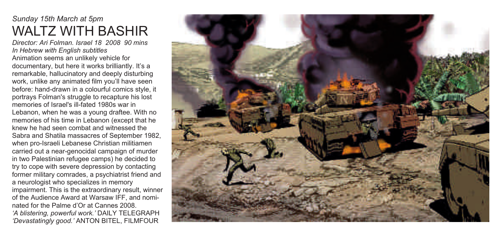#### *Sunday 15th March at 5pm*  WALTZ WITH BASHIR

*Director: Ari Folman. Israel 18 2008 90 mins In Hebrew with English subtitles*  Animation seems an unlikely vehicle for documentary, but here it works brilliantly. It's a remarkable, hallucinatory and deeply disturbing work, unlike any animated film you'll have seen before: hand-drawn in a colourful comics style, it portrays Folman's struggle to recapture his lost memories of Israel's ill-fated 1980s war in Lebanon, when he was a young draftee. With no memories of his time in Lebanon (except that he knew he had seen combat and witnessed the Sabra and Shatila massacres of September 1982, when pro-Israeli Lebanese Christian militiamen carried out a near-genocidal campaign of murder in two Palestinian refugee camps) he decided to try to cope with severe depression by contacting former military comrades, a psychiatrist friend and a neurologist who specializes in memory impairment. This is the extraordinary result, winner of the Audience Award at Warsaw IFF, and nominated for the Palme d'Or at Cannes 2008. *'A blistering, powerful work.'* DAILY TELEGRAPH *'Devastatingly good.'* ANTON BITEL, FILMFOUR

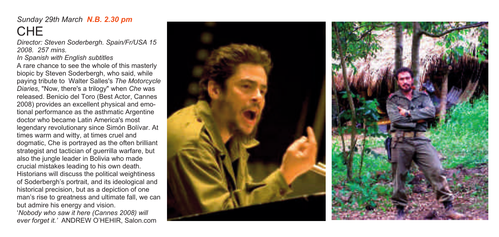*Sunday 29th March N.B. 2.30 pm*

# CHE

*Director: Steven Soderbergh. Spain/Fr/USA 15 2008. 257 mins.* 

*In Spanish with English subtitles* 

A rare chance to see the whole of this masterly biopic by Steven Soderbergh, who said, while paying tribute to Walter Salles's *The Motorcycle Diaries*, "Now, there's a trilogy" when *Che* was released. Benicio del Toro (Best Actor, Cannes 2008) provides an excellent physical and emotional performance as the asthmatic Argentine doctor who became Latin America's most legendary revolutionary since Simón Bolívar. At times warm and witty, at times cruel and dogmatic, Che is portrayed as the often brilliant strategist and tactician of guerrilla warfare, but also the jungle leader in Bolivia who made crucial mistakes leading to his own death. Historians will discuss the political weightiness of Soderbergh's portrait, and its ideological and historical precision, but as a depiction of one man's rise to greatness and ultimate fall, we can but admire his energy and vision. '*Nobody who saw it here (Cannes 2008) will ever forget it.'* ANDREW O'HEHIR, Salon.com

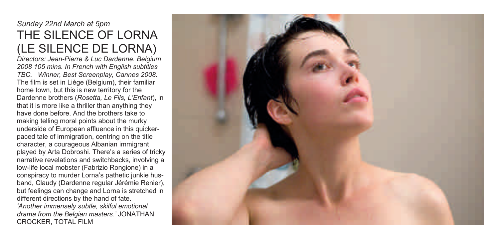#### *Sunday 22nd March at 5pm*  THE SILENCE OF LORNA (LE SILENCE DE LORNA)

*Directors: Jean-Pierre & Luc Dardenne. Belgium 2008 105 mins. In French with English subtitles TBC. Winner, Best Screenplay, Cannes 2008.* The film is set in Liège (Belgium), their familiar home town, but this is new territory for the Dardenne brothers (*Rosetta, Le Fils, L'Enfant*), in that it is more like a thriller than anything they have done before. And the brothers take to making telling moral points about the murky underside of European affluence in this quickerpaced tale of immigration, centring on the title character, a courageous Albanian immigrant played by Arta Dobroshi. There's a series of tricky narrative revelations and switchbacks, involving a low-life local mobster (Fabrizio Rongione) in a conspiracy to murder Lorna's pathetic junkie husband, Claudy (Dardenne regular Jérémie Renier), but feelings can change and Lorna is stretched in different directions by the hand of fate. *'Another immensely subtle, skilful emotional drama from the Belgian masters.'* JONATHAN CROCKER, TOTAL FILM

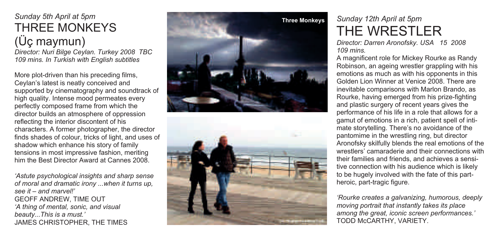#### *Sunday 5th April at 5pm*  THREE MONKEYS (Üç maymun)

*Director: Nuri Bilge Ceylan. Turkey 2008 TBC 109 mins. In Turkish with English subtitles* 

More plot-driven than his preceding films, Ceylan's latest is neatly conceived and supported by cinematography and soundtrack of high quality. Intense mood permeates every perfectly composed frame from which the director builds an atmosphere of oppression reflecting the interior discontent of his characters. A former photographer, the director finds shades of colour, tricks of light, and uses of shadow which enhance his story of family tensions in most impressive fashion, meriting him the Best Director Award at Cannes 2008.

*'Astute psychological insights and sharp sense of moral and dramatic irony ...when it turns up, see it – and marvel!'*  GEOFF ANDREW, TIME OUT *'A thing of mental, sonic, and visual beauty...This is a must.'*  JAMES CHRISTOPHER, THE TIMES





## *Sunday 12th April at 5pm*  THE WRESTLER

*Director: Darren Aronofsky. USA 15 2008 109 mins.* 

A magnificent role for Mickey Rourke as Randy Robinson, an ageing wrestler grappling with his emotions as much as with his opponents in this Golden Lion Winner at Venice 2008. There are inevitable comparisons with Marlon Brando, as Rourke, having emerged from his prize-fighting and plastic surgery of recent years gives the performance of his life in a role that allows for a gamut of emotions in a rich, patient spell of intimate storytelling. There's no avoidance of the pantomime in the wrestling ring, but director Aronofsky skilfully blends the real emotions of the wrestlers' camaraderie and their connections with their families and friends, and achieves a sensitive connection with his audience which is likely to be hugely involved with the fate of this partheroic, part-tragic figure.

*'Rourke creates a galvanizing, humorous, deeply moving portrait that instantly takes its place among the great, iconic screen performances.'*  TODD McCARTHY, VARIETY.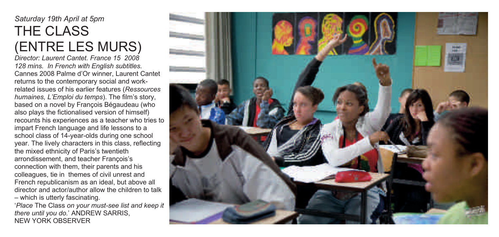## *Saturday 19th April at 5pm*  THE CLASS (ENTRE LES MURS)

*Director: Laurent Cantet. France 15 2008 128 mins. In French with English subtitles.*  Cannes 2008 Palme d'Or winner, Laurent Cantet returns to the contemporary social and workrelated issues of his earlier features (*Ressources humaines, L'Emploi du temps*). The film's story, based on a novel by François Bégaudeau (who also plays the fictionalised version of himself) recounts his experiences as a teacher who tries to impart French language and life lessons to a school class of 14-year-olds during one school year. The lively characters in this class, reflecting the mixed ethnicity of Paris's twentieth arrondissement, and teacher François's connection with them, their parents and his colleagues, tie in themes of civil unrest and French republicanism as an ideal, but above all director and actor/author allow the children to talk – which is utterly fascinating. '*Place* The Class *on your must-see list and keep it there until you do.*' ANDREW SARRIS,

NEW YORK OBSERVER